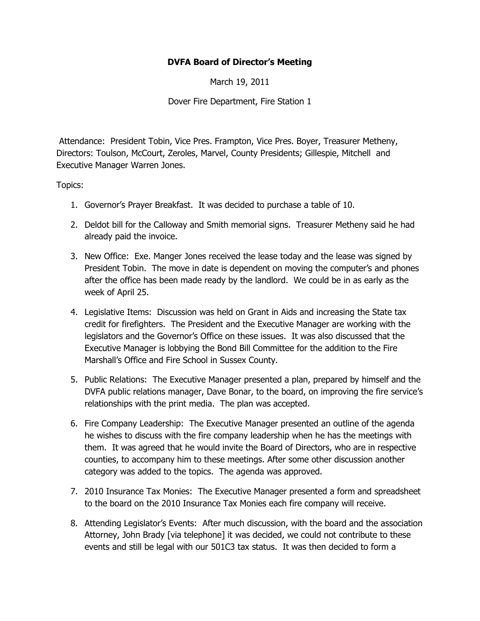## **DVFA Board of Director's Meeting**

March 19, 2011

Dover Fire Department, Fire Station 1

Attendance: President Tobin, Vice Pres. Frampton, Vice Pres. Boyer, Treasurer Metheny, Directors: Toulson, McCourt, Zeroles, Marvel, County Presidents; Gillespie, Mitchell and Executive Manager Warren Jones.

Topics:

- 1. Governor's Prayer Breakfast. It was decided to purchase a table of 10.
- 2. Deldot bill for the Calloway and Smith memorial signs. Treasurer Metheny said he had already paid the invoice.
- 3. New Office: Exe. Manger Jones received the lease today and the lease was signed by President Tobin. The move in date is dependent on moving the computer's and phones after the office has been made ready by the landlord. We could be in as early as the week of April 25.
- 4. Legislative Items: Discussion was held on Grant in Aids and increasing the State tax credit for firefighters. The President and the Executive Manager are working with the legislators and the Governor's Office on these issues. It was also discussed that the Executive Manager is lobbying the Bond Bill Committee for the addition to the Fire Marshall's Office and Fire School in Sussex County.
- 5. Public Relations: The Executive Manager presented a plan, prepared by himself and the DVFA public relations manager, Dave Bonar, to the board, on improving the fire service's relationships with the print media. The plan was accepted.
- 6. Fire Company Leadership: The Executive Manager presented an outline of the agenda he wishes to discuss with the fire company leadership when he has the meetings with them. It was agreed that he would invite the Board of Directors, who are in respective counties, to accompany him to these meetings. After some other discussion another category was added to the topics. The agenda was approved.
- 7. 2010 Insurance Tax Monies: The Executive Manager presented a form and spreadsheet to the board on the 2010 Insurance Tax Monies each fire company will receive.
- 8. Attending Legislator's Events: After much discussion, with the board and the association Attorney, John Brady [via telephone] it was decided, we could not contribute to these events and still be legal with our 501C3 tax status. It was then decided to form a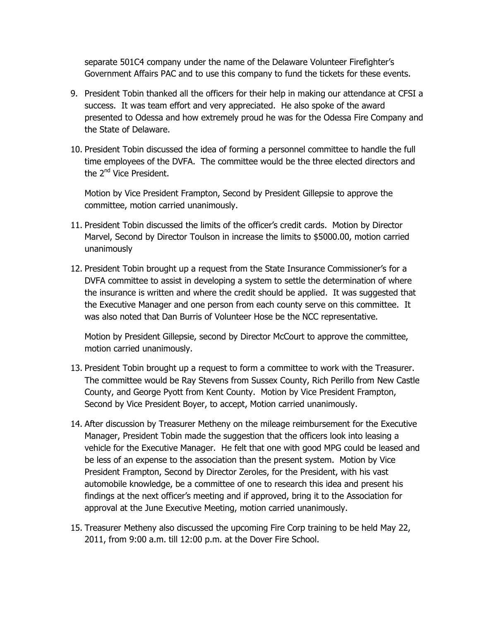separate 501C4 company under the name of the Delaware Volunteer Firefighter's Government Affairs PAC and to use this company to fund the tickets for these events.

- 9. President Tobin thanked all the officers for their help in making our attendance at CFSI a success. It was team effort and very appreciated. He also spoke of the award presented to Odessa and how extremely proud he was for the Odessa Fire Company and the State of Delaware.
- 10. President Tobin discussed the idea of forming a personnel committee to handle the full time employees of the DVFA. The committee would be the three elected directors and the 2<sup>nd</sup> Vice President.

Motion by Vice President Frampton, Second by President Gillepsie to approve the committee, motion carried unanimously.

- 11. President Tobin discussed the limits of the officer's credit cards. Motion by Director Marvel, Second by Director Toulson in increase the limits to \$5000.00, motion carried unanimously
- 12. President Tobin brought up a request from the State Insurance Commissioner's for a DVFA committee to assist in developing a system to settle the determination of where the insurance is written and where the credit should be applied. It was suggested that the Executive Manager and one person from each county serve on this committee. It was also noted that Dan Burris of Volunteer Hose be the NCC representative.

Motion by President Gillepsie, second by Director McCourt to approve the committee, motion carried unanimously.

- 13. President Tobin brought up a request to form a committee to work with the Treasurer. The committee would be Ray Stevens from Sussex County, Rich Perillo from New Castle County, and George Pyott from Kent County. Motion by Vice President Frampton, Second by Vice President Boyer, to accept, Motion carried unanimously.
- 14. After discussion by Treasurer Metheny on the mileage reimbursement for the Executive Manager, President Tobin made the suggestion that the officers look into leasing a vehicle for the Executive Manager. He felt that one with good MPG could be leased and be less of an expense to the association than the present system. Motion by Vice President Frampton, Second by Director Zeroles, for the President, with his vast automobile knowledge, be a committee of one to research this idea and present his findings at the next officer's meeting and if approved, bring it to the Association for approval at the June Executive Meeting, motion carried unanimously.
- 15. Treasurer Metheny also discussed the upcoming Fire Corp training to be held May 22, 2011, from 9:00 a.m. till 12:00 p.m. at the Dover Fire School.